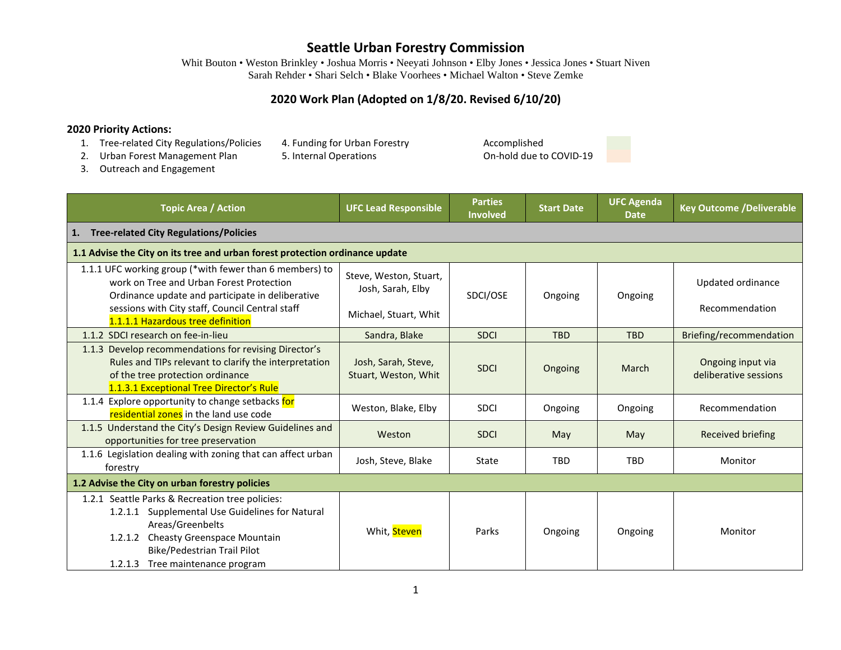Whit Bouton • Weston Brinkley • Joshua Morris • Neeyati Johnson • Elby Jones • Jessica Jones • Stuart Niven Sarah Rehder • Shari Selch • Blake Voorhees • Michael Walton • Steve Zemke

## **2020 Work Plan (Adopted on 1/8/20. Revised 6/10/20)**

#### **2020 Priority Actions:**

- 1. Tree-related City Regulations/Policies 4. Funding for Urban Forestry **Accomplished**<br>2. Urban Forest Management Plan 5. Internal Operations **Accomplished** On-hold due to COVID-19
- 2. Urban Forest Management Plan 5. Internal Operations
- 3. Outreach and Engagement

| <b>Topic Area / Action</b>                                                                                                                                                                                                                      | <b>UFC Lead Responsible</b>                                          | <b>Parties</b><br><b>Involved</b> | <b>Start Date</b> | <b>UFC Agenda</b><br><b>Date</b> | <b>Key Outcome /Deliverable</b>            |  |
|-------------------------------------------------------------------------------------------------------------------------------------------------------------------------------------------------------------------------------------------------|----------------------------------------------------------------------|-----------------------------------|-------------------|----------------------------------|--------------------------------------------|--|
| <b>Tree-related City Regulations/Policies</b><br>1.                                                                                                                                                                                             |                                                                      |                                   |                   |                                  |                                            |  |
| 1.1 Advise the City on its tree and urban forest protection ordinance update                                                                                                                                                                    |                                                                      |                                   |                   |                                  |                                            |  |
| 1.1.1 UFC working group (*with fewer than 6 members) to<br>work on Tree and Urban Forest Protection<br>Ordinance update and participate in deliberative<br>sessions with City staff, Council Central staff<br>1.1.1.1 Hazardous tree definition | Steve, Weston, Stuart,<br>Josh, Sarah, Elby<br>Michael, Stuart, Whit | SDCI/OSE                          | Ongoing           | Ongoing                          | Updated ordinance<br>Recommendation        |  |
| 1.1.2 SDCI research on fee-in-lieu                                                                                                                                                                                                              | Sandra, Blake                                                        | <b>SDCI</b>                       | <b>TBD</b>        | <b>TBD</b>                       | Briefing/recommendation                    |  |
| 1.1.3 Develop recommendations for revising Director's<br>Rules and TIPs relevant to clarify the interpretation<br>of the tree protection ordinance<br>1.1.3.1 Exceptional Tree Director's Rule                                                  | Josh, Sarah, Steve,<br>Stuart, Weston, Whit                          | <b>SDCI</b>                       | Ongoing           | March                            | Ongoing input via<br>deliberative sessions |  |
| 1.1.4 Explore opportunity to change setbacks for<br>residential zones in the land use code                                                                                                                                                      | Weston, Blake, Elby                                                  | <b>SDCI</b>                       | Ongoing           | Ongoing                          | Recommendation                             |  |
| 1.1.5 Understand the City's Design Review Guidelines and<br>opportunities for tree preservation                                                                                                                                                 | Weston                                                               | <b>SDCI</b>                       | May               | May                              | <b>Received briefing</b>                   |  |
| 1.1.6 Legislation dealing with zoning that can affect urban<br>forestry                                                                                                                                                                         | Josh, Steve, Blake                                                   | State                             | <b>TBD</b>        | <b>TBD</b>                       | Monitor                                    |  |
| 1.2 Advise the City on urban forestry policies                                                                                                                                                                                                  |                                                                      |                                   |                   |                                  |                                            |  |
| 1.2.1 Seattle Parks & Recreation tree policies:<br>1.2.1.1 Supplemental Use Guidelines for Natural<br>Areas/Greenbelts<br>1.2.1.2 Cheasty Greenspace Mountain<br>Bike/Pedestrian Trail Pilot<br>1.2.1.3 Tree maintenance program                | Whit, Steven                                                         | Parks                             | Ongoing           | Ongoing                          | Monitor                                    |  |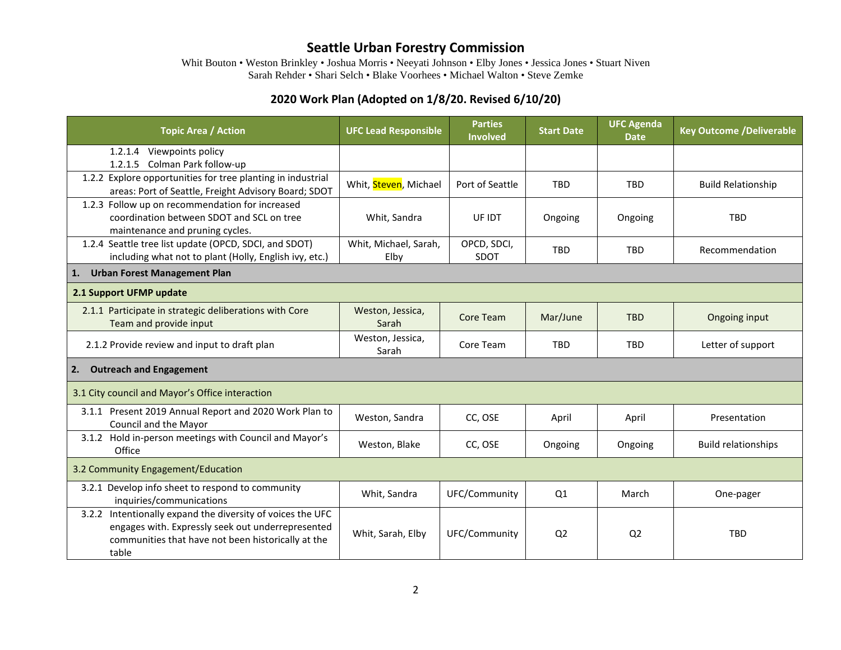Whit Bouton • Weston Brinkley • Joshua Morris • Neeyati Johnson • Elby Jones • Jessica Jones • Stuart Niven Sarah Rehder • Shari Selch • Blake Voorhees • Michael Walton • Steve Zemke

## **2020 Work Plan (Adopted on 1/8/20. Revised 6/10/20)**

| <b>Topic Area / Action</b>                                                                                                                                                     | <b>UFC Lead Responsible</b>   | <b>Parties</b><br><b>Involved</b> | <b>Start Date</b> | <b>UFC Agenda</b><br><b>Date</b> | <b>Key Outcome /Deliverable</b> |  |
|--------------------------------------------------------------------------------------------------------------------------------------------------------------------------------|-------------------------------|-----------------------------------|-------------------|----------------------------------|---------------------------------|--|
| 1.2.1.4 Viewpoints policy<br>1.2.1.5 Colman Park follow-up                                                                                                                     |                               |                                   |                   |                                  |                                 |  |
| 1.2.2 Explore opportunities for tree planting in industrial<br>areas: Port of Seattle, Freight Advisory Board; SDOT                                                            | Whit, Steven, Michael         | Port of Seattle                   | <b>TBD</b>        | <b>TBD</b>                       | <b>Build Relationship</b>       |  |
| 1.2.3 Follow up on recommendation for increased<br>coordination between SDOT and SCL on tree<br>maintenance and pruning cycles.                                                | Whit, Sandra                  | UF IDT                            | Ongoing           | Ongoing                          | <b>TBD</b>                      |  |
| 1.2.4 Seattle tree list update (OPCD, SDCI, and SDOT)<br>including what not to plant (Holly, English ivy, etc.)                                                                | Whit, Michael, Sarah,<br>Elby | OPCD, SDCI,<br>SDOT               | <b>TBD</b>        | <b>TBD</b>                       | Recommendation                  |  |
| <b>Urban Forest Management Plan</b><br>1.                                                                                                                                      |                               |                                   |                   |                                  |                                 |  |
| 2.1 Support UFMP update                                                                                                                                                        |                               |                                   |                   |                                  |                                 |  |
| 2.1.1 Participate in strategic deliberations with Core<br>Team and provide input                                                                                               | Weston, Jessica,<br>Sarah     | Core Team                         | Mar/June          | <b>TBD</b>                       | Ongoing input                   |  |
| 2.1.2 Provide review and input to draft plan                                                                                                                                   | Weston, Jessica,<br>Sarah     | Core Team                         | <b>TBD</b>        | <b>TBD</b>                       | Letter of support               |  |
| <b>Outreach and Engagement</b><br>2.                                                                                                                                           |                               |                                   |                   |                                  |                                 |  |
| 3.1 City council and Mayor's Office interaction                                                                                                                                |                               |                                   |                   |                                  |                                 |  |
| 3.1.1 Present 2019 Annual Report and 2020 Work Plan to<br>Council and the Mayor                                                                                                | Weston, Sandra                | CC, OSE                           | April             | April                            | Presentation                    |  |
| 3.1.2 Hold in-person meetings with Council and Mayor's<br>Office                                                                                                               | Weston, Blake                 | CC, OSE                           | Ongoing           | Ongoing                          | <b>Build relationships</b>      |  |
| 3.2 Community Engagement/Education                                                                                                                                             |                               |                                   |                   |                                  |                                 |  |
| 3.2.1 Develop info sheet to respond to community<br>inquiries/communications                                                                                                   | Whit, Sandra                  | UFC/Community                     | Q1                | March                            | One-pager                       |  |
| 3.2.2 Intentionally expand the diversity of voices the UFC<br>engages with. Expressly seek out underrepresented<br>communities that have not been historically at the<br>table | Whit, Sarah, Elby             | UFC/Community                     | Q <sub>2</sub>    | Q <sub>2</sub>                   | <b>TBD</b>                      |  |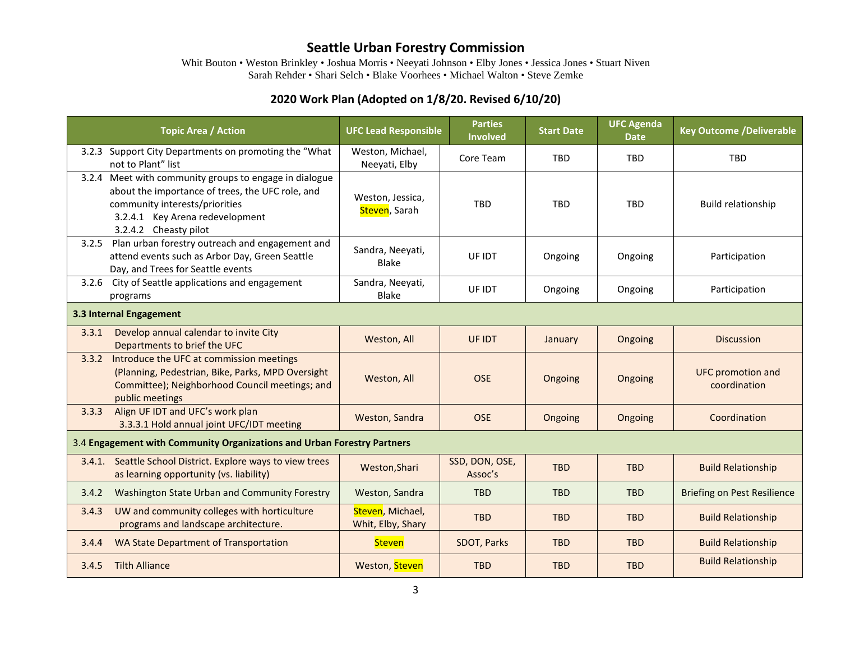Whit Bouton • Weston Brinkley • Joshua Morris • Neeyati Johnson • Elby Jones • Jessica Jones • Stuart Niven Sarah Rehder • Shari Selch • Blake Voorhees • Michael Walton • Steve Zemke

## **2020 Work Plan (Adopted on 1/8/20. Revised 6/10/20)**

|                                                                         | <b>Topic Area / Action</b>                                                                                                                                                                               | <b>UFC Lead Responsible</b>           | <b>Parties</b><br><b>Involved</b> | <b>Start Date</b> | <b>UFC Agenda</b><br><b>Date</b> | <b>Key Outcome /Deliverable</b>          |  |
|-------------------------------------------------------------------------|----------------------------------------------------------------------------------------------------------------------------------------------------------------------------------------------------------|---------------------------------------|-----------------------------------|-------------------|----------------------------------|------------------------------------------|--|
|                                                                         | 3.2.3 Support City Departments on promoting the "What<br>not to Plant" list                                                                                                                              | Weston, Michael,<br>Neeyati, Elby     | Core Team                         | <b>TBD</b>        | <b>TBD</b>                       | <b>TBD</b>                               |  |
|                                                                         | 3.2.4 Meet with community groups to engage in dialogue<br>about the importance of trees, the UFC role, and<br>community interests/priorities<br>3.2.4.1 Key Arena redevelopment<br>3.2.4.2 Cheasty pilot | Weston, Jessica,<br>Steven, Sarah     | <b>TBD</b>                        | TBD               | <b>TBD</b>                       | Build relationship                       |  |
|                                                                         | 3.2.5 Plan urban forestry outreach and engagement and<br>attend events such as Arbor Day, Green Seattle<br>Day, and Trees for Seattle events                                                             | Sandra, Neeyati,<br><b>Blake</b>      | UF IDT                            | Ongoing           | Ongoing                          | Participation                            |  |
| 3.2.6                                                                   | City of Seattle applications and engagement<br>programs                                                                                                                                                  | Sandra, Neeyati,<br>Blake             | UF IDT                            | Ongoing           | Ongoing                          | Participation                            |  |
| 3.3 Internal Engagement                                                 |                                                                                                                                                                                                          |                                       |                                   |                   |                                  |                                          |  |
| 3.3.1                                                                   | Develop annual calendar to invite City<br>Departments to brief the UFC                                                                                                                                   | Weston, All                           | <b>UF IDT</b>                     | January           | Ongoing                          | <b>Discussion</b>                        |  |
| 3.3.2                                                                   | Introduce the UFC at commission meetings<br>(Planning, Pedestrian, Bike, Parks, MPD Oversight<br>Committee); Neighborhood Council meetings; and<br>public meetings                                       | Weston, All                           | <b>OSE</b>                        | Ongoing           | Ongoing                          | <b>UFC</b> promotion and<br>coordination |  |
| 3.3.3                                                                   | Align UF IDT and UFC's work plan<br>3.3.3.1 Hold annual joint UFC/IDT meeting                                                                                                                            | Weston, Sandra                        | <b>OSE</b>                        | Ongoing           | Ongoing                          | Coordination                             |  |
| 3.4 Engagement with Community Organizations and Urban Forestry Partners |                                                                                                                                                                                                          |                                       |                                   |                   |                                  |                                          |  |
|                                                                         | 3.4.1. Seattle School District. Explore ways to view trees<br>as learning opportunity (vs. liability)                                                                                                    | Weston, Shari                         | SSD, DON, OSE,<br>Assoc's         | <b>TBD</b>        | <b>TBD</b>                       | <b>Build Relationship</b>                |  |
| 3.4.2                                                                   | Washington State Urban and Community Forestry                                                                                                                                                            | Weston, Sandra                        | <b>TBD</b>                        | <b>TBD</b>        | <b>TBD</b>                       | <b>Briefing on Pest Resilience</b>       |  |
| 3.4.3                                                                   | UW and community colleges with horticulture<br>programs and landscape architecture.                                                                                                                      | Steven, Michael,<br>Whit, Elby, Shary | <b>TBD</b>                        | <b>TBD</b>        | <b>TBD</b>                       | <b>Build Relationship</b>                |  |
| 3.4.4                                                                   | <b>WA State Department of Transportation</b>                                                                                                                                                             | <b>Steven</b>                         | SDOT, Parks                       | <b>TBD</b>        | <b>TBD</b>                       | <b>Build Relationship</b>                |  |
| 3.4.5                                                                   | <b>Tilth Alliance</b>                                                                                                                                                                                    | Weston, Steven                        | <b>TBD</b>                        | <b>TBD</b>        | <b>TBD</b>                       | <b>Build Relationship</b>                |  |